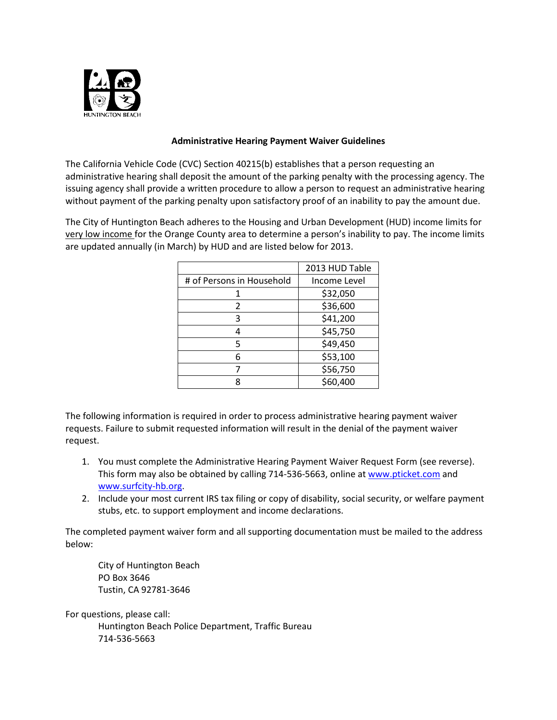

## **Administrative Hearing Payment Waiver Guidelines**

The California Vehicle Code (CVC) Section 40215(b) establishes that a person requesting an administrative hearing shall deposit the amount of the parking penalty with the processing agency. The issuing agency shall provide a written procedure to allow a person to request an administrative hearing without payment of the parking penalty upon satisfactory proof of an inability to pay the amount due.

The City of Huntington Beach adheres to the Housing and Urban Development (HUD) income limits for very low income for the Orange County area to determine a person's inability to pay. The income limits are updated annually (in March) by HUD and are listed below for 2013.

|                           | 2013 HUD Table |
|---------------------------|----------------|
| # of Persons in Household | Income Level   |
|                           | \$32,050       |
| 2                         | \$36,600       |
| ς                         | \$41,200       |
|                           | \$45,750       |
| 5                         | \$49,450       |
| 6                         | \$53,100       |
|                           | \$56,750       |
|                           | \$60,400       |

The following information is required in order to process administrative hearing payment waiver requests. Failure to submit requested information will result in the denial of the payment waiver request.

- 1. You must complete the Administrative Hearing Payment Waiver Request Form (see reverse). This form may also be obtained by calling 714-536-5663, online a[t www.pticket.com](http://www.pticket.com/) and [www.surfcity-hb.org.](http://www.surfcity-hb.org/)
- 2. Include your most current IRS tax filing or copy of disability, social security, or welfare payment stubs, etc. to support employment and income declarations.

The completed payment waiver form and all supporting documentation must be mailed to the address below:

City of Huntington Beach PO Box 3646 Tustin, CA 92781-3646

For questions, please call:

Huntington Beach Police Department, Traffic Bureau 714-536-5663